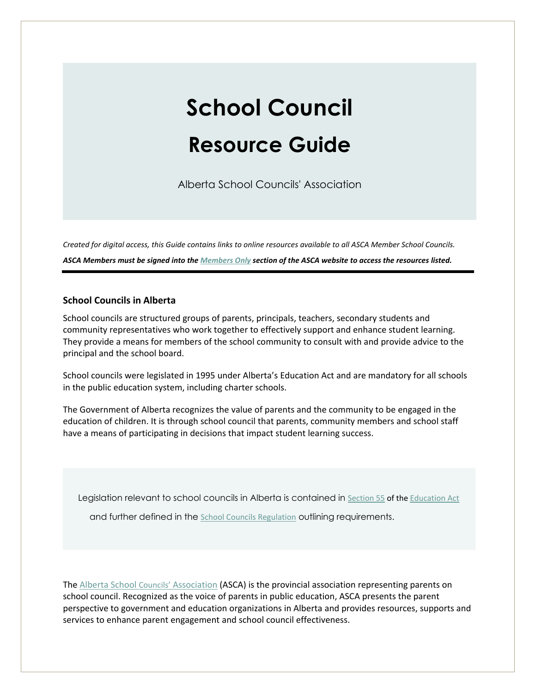# **School Council Resource Guide**

Alberta School Councils' Association

*Created for digital access, this Guide contains links to online resources available to all ASCA Member School Councils. ASCA Members must be signed into the [Members Only](https://www.albertaschoolcouncils.ca/about/membership/members-only-section) section of the ASCA website to access the resources listed.*

# **School Councils in Alberta**

School councils are structured groups of parents, principals, teachers, secondary students and community representatives who work together to effectively support and enhance student learning. They provide a means for members of the school community to consult with and provide advice to the principal and the school board.

School councils were legislated in 1995 under Alberta's Education Act and are mandatory for all schools in the public education system, including charter schools.

The Government of Alberta recognizes the value of parents and the community to be engaged in the education of children. It is through school council that parents, community members and school staff have a means of participating in decisions that impact student learning success.

Legislation relevant to school councils in Alberta is contained in [Section 55](https://www.albertaschoolcouncils.ca/public/download/files/98227) of th[e Education Act](https://www.albertaschoolcouncils.ca/public/download/files/98229)

and further defined in the [School Councils Regulation](https://www.albertaschoolcouncils.ca/public/download/files/40940) outlining requirements.

The [Alberta School](http://www.albertaschoolcouncils.ca/) Councils' Association (ASCA) is the provincial association representing parents on school council. Recognized as the voice of parents in public education, ASCA presents the parent perspective to government and education organizations in Alberta and provides resources, supports and services to enhance parent engagement and school council effectiveness.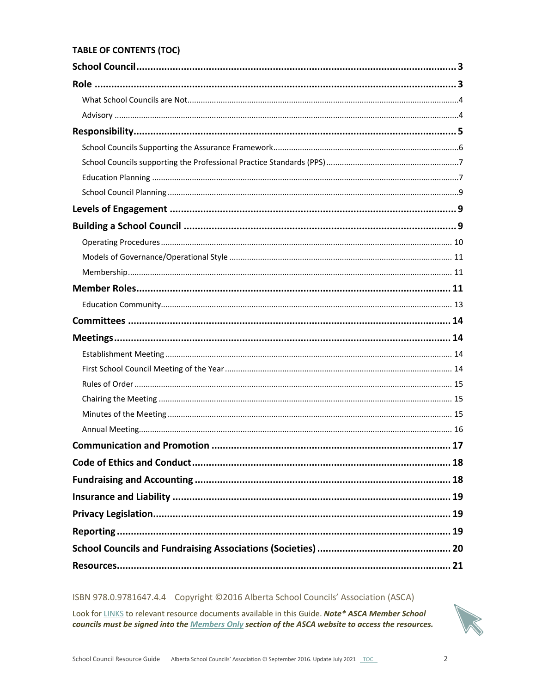# <span id="page-1-0"></span>**TABLE OF CONTENTS (TOC)**

# ISBN 978.0.9781647.4.4 Copyright ©2016 Alberta School Councils' Association (ASCA)

Look for LINKS to relevant resource documents available in this Guide. Note\* ASCA Member School councils must be signed into the Members Only section of the ASCA website to access the resources.

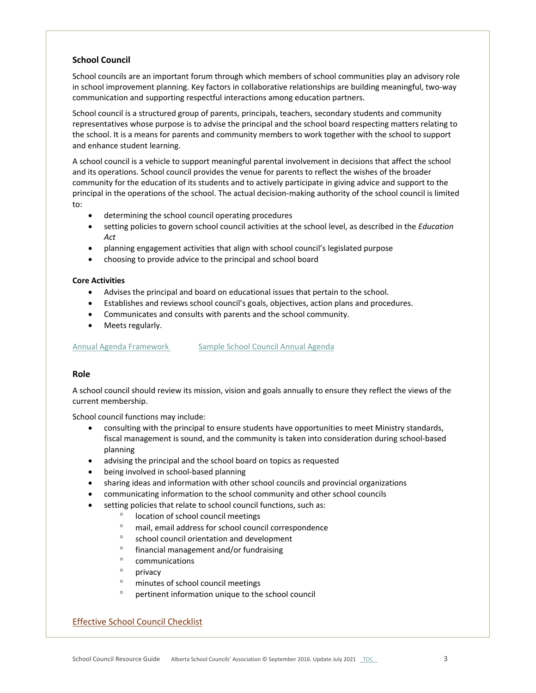# <span id="page-2-0"></span>**School Council**

School councils are an important forum through which members of school communities play an advisory role in school improvement planning. Key factors in collaborative relationships are building meaningful, two-way communication and supporting respectful interactions among education partners.

School council is a structured group of parents, principals, teachers, secondary students and community representatives whose purpose is to advise the principal and the school board respecting matters relating to the school. It is a means for parents and community members to work together with the school to support and enhance student learning.

A school council is a vehicle to support meaningful parental involvement in decisions that affect the school and its operations. School council provides the venue for parents to reflect the wishes of the broader community for the education of its students and to actively participate in giving advice and support to the principal in the operations of the school. The actual decision-making authority of the school council is limited to:

- determining the school council operating procedures
- setting policies to govern school council activities at the school level, as described in the *Education Act*
- planning engagement activities that align with school council's legislated purpose
- choosing to provide advice to the principal and school board

# **Core Activities**

- Advises the principal and board on educational issues that pertain to the school.
- Establishes and reviews school council's goals, objectives, action plans and procedures.
- Communicates and consults with parents and the school community.
- Meets regularly.

[Annual Agenda Framework](https://www.albertaschoolcouncils.ca/files/download/ae6a00c8e7c956da228c33c76b24da58) [Sample School Council Annual](https://www.albertaschoolcouncils.ca/files/download/8febb52895a418884c22b4ae4c41c78c) Agenda

# <span id="page-2-1"></span>**Role**

A school council should review its mission, vision and goals annually to ensure they reflect the views of the current membership.

School council functions may include:

- consulting with the principal to ensure students have opportunities to meet Ministry standards, fiscal management is sound, and the community is taken into consideration during school-based planning
- advising the principal and the school board on topics as requested
- being involved in school-based planning
- sharing ideas and information with other school councils and provincial organizations
- communicating information to the school community and other school councils
- setting policies that relate to school council functions, such as:
	- location of school council meetings
	- mail, email address for school council correspondence
	- ° school council orientation and development
	- <sup>o</sup> financial management and/or fundraising
	- <sup>o</sup> communications
	- <sup>o</sup> privacy
	- minutes of school council meetings
	- pertinent information unique to the school council

# [Effective School Council Checklist](https://www.albertaschoolcouncils.ca/files/download/4741f59dbc7c0a1d829a65a229b1c29b)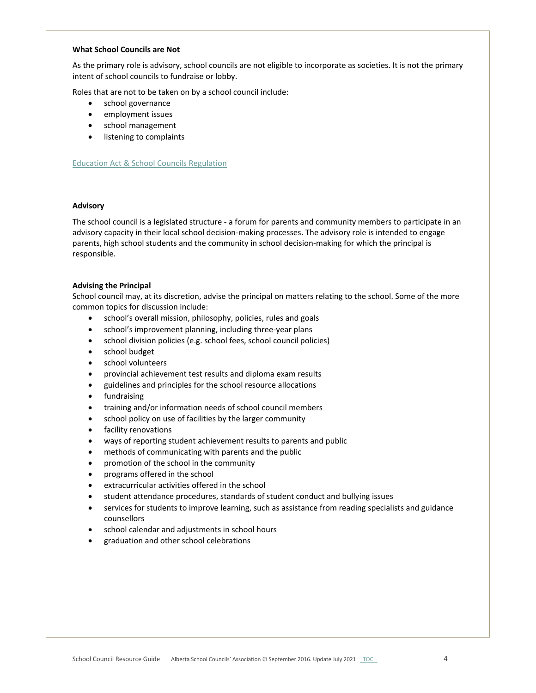#### <span id="page-3-0"></span>**What School Councils are Not**

As the primary role is advisory, school councils are not eligible to incorporate as societies. It is not the primary intent of school councils to fundraise or lobby.

Roles that are not to be taken on by a school council include:

- school governance
- employment issues
- school management
- listening to complaints

Education Act [& School Councils Regulation](https://www.albertaschoolcouncils.ca/files/download/377a189b587e8280a8bef38d0344c026)

#### <span id="page-3-1"></span>**Advisory**

The school council is a legislated structure - a forum for parents and community members to participate in an advisory capacity in their local school decision-making processes. The advisory role is intended to engage parents, high school students and the community in school decision-making for which the principal is responsible.

# **Advising the Principal**

School council may, at its discretion, advise the principal on matters relating to the school. Some of the more common topics for discussion include:

- school's overall mission, philosophy, policies, rules and goals
- school's improvement planning, including three-year plans
- school division policies (e.g. school fees, school council policies)
- school budget
- school volunteers
- provincial achievement test results and diploma exam results
- guidelines and principles for the school resource allocations
- fundraising
- training and/or information needs of school council members
- school policy on use of facilities by the larger community
- facility renovations
- ways of reporting student achievement results to parents and public
- methods of communicating with parents and the public
- promotion of the school in the community
- programs offered in the school
- extracurricular activities offered in the school
- student attendance procedures, standards of student conduct and bullying issues
- services for students to improve learning, such as assistance from reading specialists and guidance counsellors
- school calendar and adjustments in school hours
- graduation and other school celebrations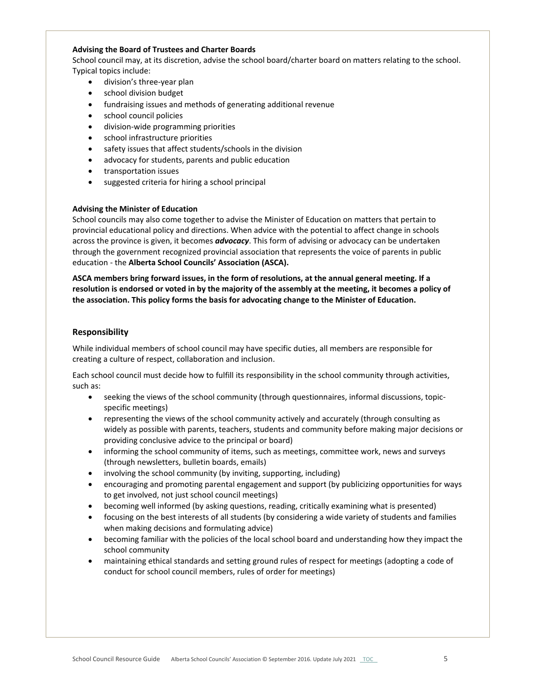### **Advising the Board of Trustees and Charter Boards**

School council may, at its discretion, advise the school board/charter board on matters relating to the school. Typical topics include:

- division's three-year plan
- school division budget
- fundraising issues and methods of generating additional revenue
- school council policies
- division-wide programming priorities
- school infrastructure priorities
- safety issues that affect students/schools in the division
- advocacy for students, parents and public education
- transportation issues
- suggested criteria for hiring a school principal

# **Advising the Minister of Education**

School councils may also come together to advise the Minister of Education on matters that pertain to provincial educational policy and directions. When advice with the potential to affect change in schools across the province is given, it becomes *advocacy*. This form of advising or advocacy can be undertaken through the government recognized provincial association that represents the voice of parents in public education - the **Alberta School Councils' Association (ASCA).**

**ASCA members bring forward issues, in the form of resolutions, at the annual general meeting. If a resolution is endorsed or voted in by the majority of the assembly at the meeting, it becomes a policy of the association. This policy forms the basis for advocating change to the Minister of Education.**

# <span id="page-4-0"></span>**Responsibility**

While individual members of school council may have specific duties, all members are responsible for creating a culture of respect, collaboration and inclusion.

Each school council must decide how to fulfill its responsibility in the school community through activities, such as:

- seeking the views of the school community (through questionnaires, informal discussions, topicspecific meetings)
- representing the views of the school community actively and accurately (through consulting as widely as possible with parents, teachers, students and community before making major decisions or providing conclusive advice to the principal or board)
- informing the school community of items, such as meetings, committee work, news and surveys (through newsletters, bulletin boards, emails)
- involving the school community (by inviting, supporting, including)
- encouraging and promoting parental engagement and support (by publicizing opportunities for ways to get involved, not just school council meetings)
- becoming well informed (by asking questions, reading, critically examining what is presented)
- focusing on the best interests of all students (by considering a wide variety of students and families when making decisions and formulating advice)
- becoming familiar with the policies of the local school board and understanding how they impact the school community
- maintaining ethical standards and setting ground rules of respect for meetings (adopting a code of conduct for school council members, rules of order for meetings)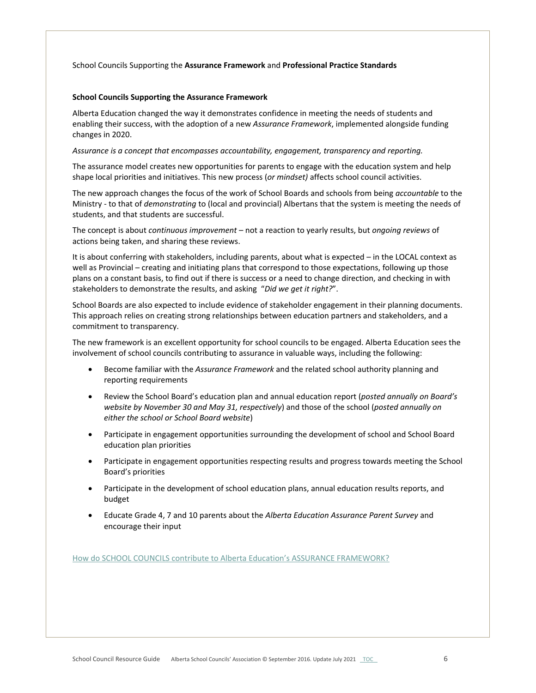### School Councils Supporting the **Assurance Framework** and **Professional Practice Standards**

#### <span id="page-5-0"></span>**School Councils Supporting the Assurance Framework**

Alberta Education changed the way it demonstrates confidence in meeting the needs of students and enabling their success, with the adoption of a new *Assurance Framework*, implemented alongside funding changes in 2020.

*Assurance is a concept that encompasses accountability, engagement, transparency and reporting.*

The assurance model creates new opportunities for parents to engage with the education system and help shape local priorities and initiatives. This new process (*or mindset)* affects school council activities.

The new approach changes the focus of the work of School Boards and schools from being *accountable* to the Ministry - to that of *demonstrating* to (local and provincial) Albertans that the system is meeting the needs of students, and that students are successful.

The concept is about *continuous improvement* – not a reaction to yearly results, but *ongoing reviews* of actions being taken, and sharing these reviews.

It is about conferring with stakeholders, including parents, about what is expected – in the LOCAL context as well as Provincial – creating and initiating plans that correspond to those expectations, following up those plans on a constant basis, to find out if there is success or a need to change direction, and checking in with stakeholders to demonstrate the results, and asking "*Did we get it right?*".

School Boards are also expected to include evidence of stakeholder engagement in their planning documents. This approach relies on creating strong relationships between education partners and stakeholders, and a commitment to transparency.

The new framework is an excellent opportunity for school councils to be engaged. Alberta Education sees the involvement of school councils contributing to assurance in valuable ways, including the following:

- Become familiar with the *Assurance Framework* and the related school authority planning and reporting requirements
- Review the School Board's education plan and annual education report (*posted annually on Board's website by November 30 and May 31, respectively*) and those of the school (*posted annually on either the school or School Board website*)
- Participate in engagement opportunities surrounding the development of school and School Board education plan priorities
- Participate in engagement opportunities respecting results and progress towards meeting the School Board's priorities
- Participate in the development of school education plans, annual education results reports, and budget
- Educate Grade 4, 7 and 10 parents about the *Alberta Education Assurance Parent Survey* and encourage their input

[How do SCHOOL COUNCILS contribute to Alberta Education's ASSURANCE FRAMEWORK?](https://www.albertaschoolcouncils.ca/public/download/files/181029)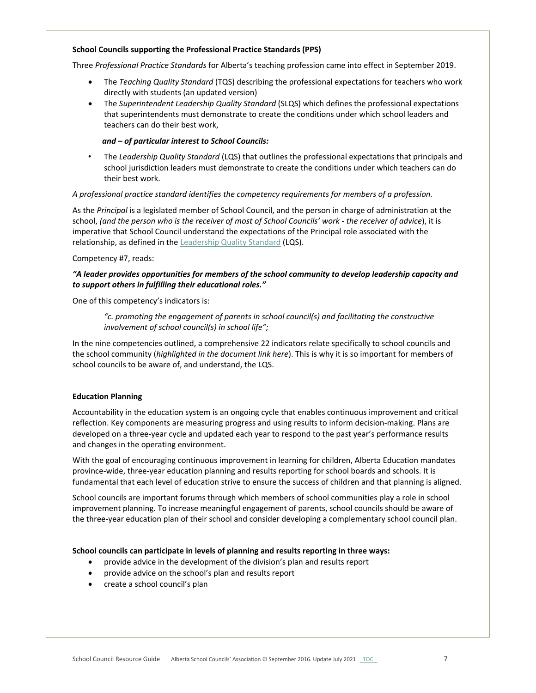### <span id="page-6-0"></span>**School Councils supporting the Professional Practice Standards (PPS)**

Three *Professional Practice Standards* for Alberta's teaching profession came into effect in September 2019.

- The *Teaching Quality Standard* (TQS) describing the professional expectations for teachers who work directly with students (an updated version)
- The *Superintendent Leadership Quality Standard* (SLQS) which defines the professional expectations that superintendents must demonstrate to create the conditions under which school leaders and teachers can do their best work,

# *and – of particular interest to School Councils:*

• The *Leadership Quality Standard* (LQS) that outlines the professional expectations that principals and school jurisdiction leaders must demonstrate to create the conditions under which teachers can do their best work.

# *A professional practice standard identifies the competency requirements for members of a profession.*

As the *Principal* is a legislated member of School Council, and the person in charge of administration at the school, (and the person who is the receiver of most of School Councils' work - the receiver of advice), it is imperative that School Council understand the expectations of the Principal role associated with the relationship, as defined in the [Leadership Quality Standard](https://www.alberta.ca/assets/documents/ed-leadership-quality-standard-english.pdf) (LQS).

Competency #7, reads:

# *"A leader provides opportunities for members of the school community to develop leadership capacity and to support others in fulfilling their educational roles."*

One of this competency's indicators is:

*"c. promoting the engagement of parents in school council(s) and facilitating the constructive involvement of school council(s) in school life";*

In the nine competencies outlined, a comprehensive 22 indicators relate specifically to school councils and the school community (*highlighted in the document link here*). This is why it is so important for members of school councils to be aware of, and understand, the LQS.

# <span id="page-6-1"></span>**Education Planning**

Accountability in the education system is an ongoing cycle that enables continuous improvement and critical reflection. Key components are measuring progress and using results to inform decision-making. Plans are developed on a three-year cycle and updated each year to respond to the past year's performance results and changes in the operating environment.

With the goal of encouraging continuous improvement in learning for children, Alberta Education mandates province-wide, three-year education planning and results reporting for school boards and schools. It is fundamental that each level of education strive to ensure the success of children and that planning is aligned.

School councils are important forums through which members of school communities play a role in school improvement planning. To increase meaningful engagement of parents, school councils should be aware of the three-year education plan of their school and consider developing a complementary school council plan.

**School councils can participate in levels of planning and results reporting in three ways:**

- provide advice in the development of the division's plan and results report
- provide advice on the school's plan and results report
- create a school council's plan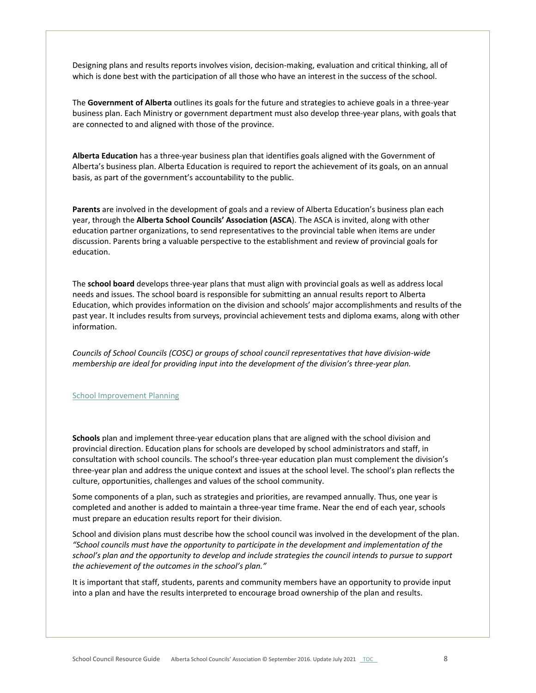Designing plans and results reports involves vision, decision-making, evaluation and critical thinking, all of which is done best with the participation of all those who have an interest in the success of the school.

The **Government of Alberta** outlines its goals for the future and strategies to achieve goals in a three-year business plan. Each Ministry or government department must also develop three-year plans, with goals that are connected to and aligned with those of the province.

**Alberta Education** has a three-year business plan that identifies goals aligned with the Government of Alberta's business plan. Alberta Education is required to report the achievement of its goals, on an annual basis, as part of the government's accountability to the public.

**Parents** are involved in the development of goals and a review of Alberta Education's business plan each year, through the **Alberta School Councils' Association (ASCA**). The ASCA is invited, along with other education partner organizations, to send representatives to the provincial table when items are under discussion. Parents bring a valuable perspective to the establishment and review of provincial goals for education.

The **school board** develops three-year plans that must align with provincial goals as well as address local needs and issues. The school board is responsible for submitting an annual results report to Alberta Education, which provides information on the division and schools' major accomplishments and results of the past year. It includes results from surveys, provincial achievement tests and diploma exams, along with other information.

*Councils of School Councils (COSC) or groups of school council representatives that have division-wide membership are ideal for providing input into the development of the division's three-year plan.*

#### [School Improvement Planning](https://www.albertaschoolcouncils.ca/files/download/fa59e70b8cddc8dacfd5561eebfcb251)

**Schools** plan and implement three-year education plans that are aligned with the school division and provincial direction. Education plans for schools are developed by school administrators and staff, in consultation with school councils. The school's three-year education plan must complement the division's three-year plan and address the unique context and issues at the school level. The school's plan reflects the culture, opportunities, challenges and values of the school community.

Some components of a plan, such as strategies and priorities, are revamped annually. Thus, one year is completed and another is added to maintain a three-year time frame. Near the end of each year, schools must prepare an education results report for their division.

School and division plans must describe how the school council was involved in the development of the plan. *"School councils must have the opportunity to participate in the development and implementation of the school's plan and the opportunity to develop and include strategies the council intends to pursue to support the achievement of the outcomes in the school's plan."*

It is important that staff, students, parents and community members have an opportunity to provide input into a plan and have the results interpreted to encourage broad ownership of the plan and results.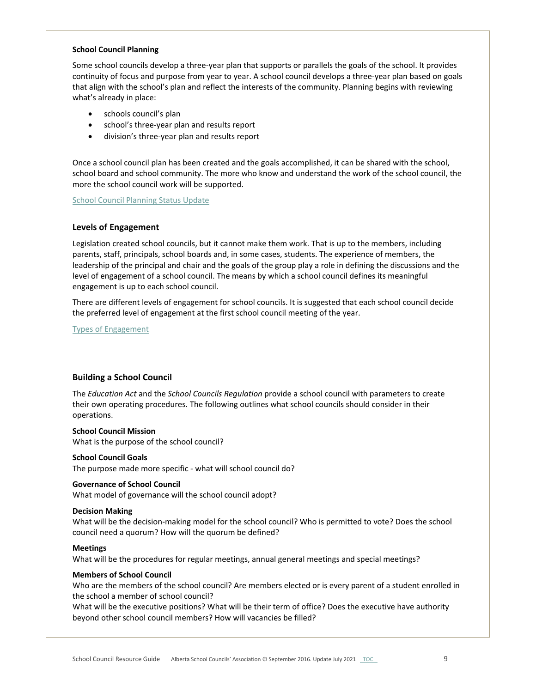#### <span id="page-8-0"></span>**School Council Planning**

Some school councils develop a three-year plan that supports or parallels the goals of the school. It provides continuity of focus and purpose from year to year. A school council develops a three-year plan based on goals that align with the school's plan and reflect the interests of the community. Planning begins with reviewing what's already in place:

- schools council's plan
- school's three-year plan and results report
- division's three-year plan and results report

Once a school council plan has been created and the goals accomplished, it can be shared with the school, school board and school community. The more who know and understand the work of the school council, the more the school council work will be supported.

School Council [Planning Status Update](https://www.albertaschoolcouncils.ca/files/download/d3b101bf854293c5821434e9d3d14f08)

# <span id="page-8-1"></span>**Levels of Engagement**

Legislation created school councils, but it cannot make them work. That is up to the members, including parents, staff, principals, school boards and, in some cases, students. The experience of members, the leadership of the principal and chair and the goals of the group play a role in defining the discussions and the level of engagement of a school council. The means by which a school council defines its meaningful engagement is up to each school council.

There are different levels of engagement for school councils. It is suggested that each school council decide the preferred level of engagement at the first school council meeting of the year.

[Types of Engagement](https://www.albertaschoolcouncils.ca/files/download/dfd2b8405d2010349fd93f8a31b87f7c)

#### <span id="page-8-2"></span>**Building a School Council**

The *Education Act* and the *School Councils Regulation* provide a school council with parameters to create their own operating procedures. The following outlines what school councils should consider in their operations.

#### **School Council Mission**

What is the purpose of the school council?

#### **School Council Goals**

The purpose made more specific - what will school council do?

### **Governance of School Council**

What model of governance will the school council adopt?

#### **Decision Making**

What will be the decision-making model for the school council? Who is permitted to vote? Does the school council need a quorum? How will the quorum be defined?

#### **Meetings**

What will be the procedures for regular meetings, annual general meetings and special meetings?

#### **Members of School Council**

Who are the members of the school council? Are members elected or is every parent of a student enrolled in the school a member of school council?

What will be the executive positions? What will be their term of office? Does the executive have authority beyond other school council members? How will vacancies be filled?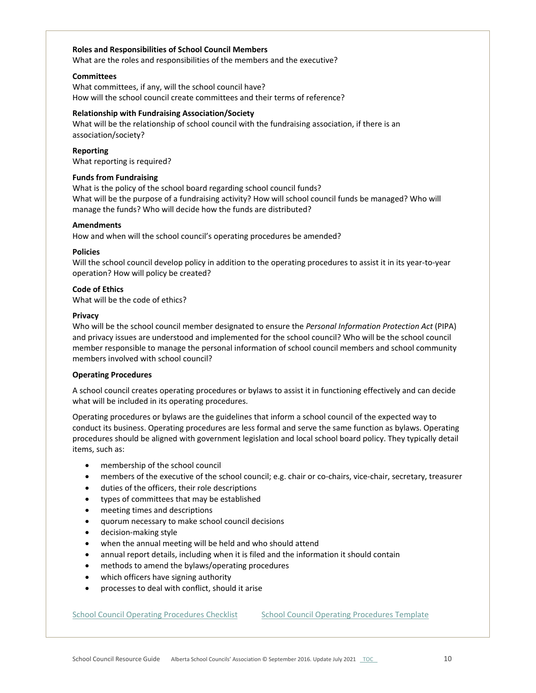### **Roles and Responsibilities of School Council Members**

What are the roles and responsibilities of the members and the executive?

#### **Committees**

What committees, if any, will the school council have? How will the school council create committees and their terms of reference?

#### **Relationship with Fundraising Association/Society**

What will be the relationship of school council with the fundraising association, if there is an association/society?

### **Reporting**

What reporting is required?

#### **Funds from Fundraising**

What is the policy of the school board regarding school council funds? What will be the purpose of a fundraising activity? How will school council funds be managed? Who will manage the funds? Who will decide how the funds are distributed?

#### **Amendments**

How and when will the school council's operating procedures be amended?

# **Policies**

Will the school council develop policy in addition to the operating procedures to assist it in its year-to-year operation? How will policy be created?

# **Code of Ethics**

What will be the code of ethics?

# **Privacy**

Who will be the school council member designated to ensure the *Personal Information Protection Act* (PIPA) and privacy issues are understood and implemented for the school council? Who will be the school council member responsible to manage the personal information of school council members and school community members involved with school council?

#### <span id="page-9-0"></span>**Operating Procedures**

A school council creates operating procedures or bylaws to assist it in functioning effectively and can decide what will be included in its operating procedures.

Operating procedures or bylaws are the guidelines that inform a school council of the expected way to conduct its business. Operating procedures are less formal and serve the same function as bylaws. Operating procedures should be aligned with government legislation and local school board policy. They typically detail items, such as:

- membership of the school council
- members of the executive of the school council; e.g. chair or co-chairs, vice-chair, secretary, treasurer
- duties of the officers, their role descriptions
- types of committees that may be established
- meeting times and descriptions
- quorum necessary to make school council decisions
- decision-making style
- when the annual meeting will be held and who should attend
- annual report details, including when it is filed and the information it should contain
- methods to amend the bylaws/operating procedures
- which officers have signing authority
- processes to deal with conflict, should it arise

# [School Council Operating Procedures Checklist](https://www.albertaschoolcouncils.ca/files/download/cc865a3e3ffd29862b77326180575134) [School Council Operating Procedures Template](https://www.albertaschoolcouncils.ca/files/download/b6960ea812a748fe83d220ece2ce4432)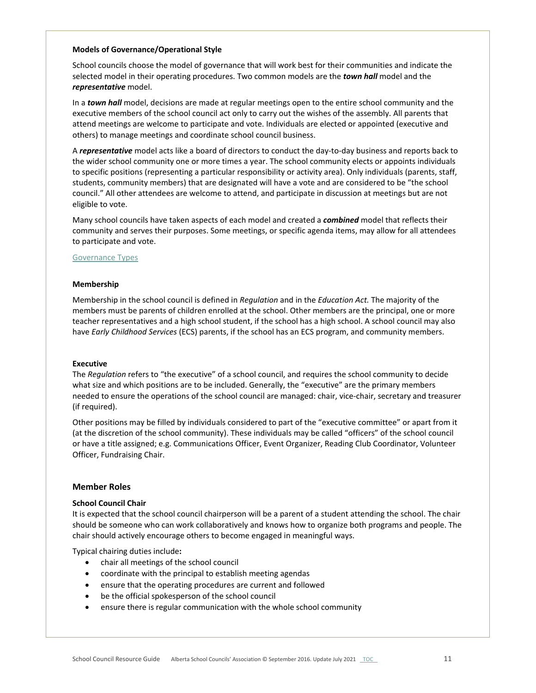#### <span id="page-10-0"></span>**Models of Governance/Operational Style**

School councils choose the model of governance that will work best for their communities and indicate the selected model in their operating procedures. Two common models are the *town hall* model and the *representative* model.

In a *town hall* model, decisions are made at regular meetings open to the entire school community and the executive members of the school council act only to carry out the wishes of the assembly. All parents that attend meetings are welcome to participate and vote. Individuals are elected or appointed (executive and others) to manage meetings and coordinate school council business.

A *representative* model acts like a board of directors to conduct the day-to-day business and reports back to the wider school community one or more times a year. The school community elects or appoints individuals to specific positions (representing a particular responsibility or activity area). Only individuals (parents, staff, students, community members) that are designated will have a vote and are considered to be "the school council." All other attendees are welcome to attend, and participate in discussion at meetings but are not eligible to vote.

Many school councils have taken aspects of each model and created a *combined* model that reflects their community and serves their purposes. Some meetings, or specific agenda items, may allow for all attendees to participate and vote.

#### [Governance Types](https://www.albertaschoolcouncils.ca/files/download/c1f0474337caa7a9735084edac2d964c)

#### <span id="page-10-1"></span>**Membership**

Membership in the school council is defined in *Regulation* and in the *Education Act.* The majority of the members must be parents of children enrolled at the school. Other members are the principal, one or more teacher representatives and a high school student, if the school has a high school. A school council may also have *Early Childhood Services* (ECS) parents, if the school has an ECS program, and community members.

#### **Executive**

The *Regulation* refers to "the executive" of a school council, and requires the school community to decide what size and which positions are to be included. Generally, the "executive" are the primary members needed to ensure the operations of the school council are managed: chair, vice-chair, secretary and treasurer (if required).

Other positions may be filled by individuals considered to part of the "executive committee" or apart from it (at the discretion of the school community). These individuals may be called "officers" of the school council or have a title assigned; e.g. Communications Officer, Event Organizer, Reading Club Coordinator, Volunteer Officer, Fundraising Chair.

#### <span id="page-10-2"></span>**Member Roles**

#### **School Council Chair**

It is expected that the school council chairperson will be a parent of a student attending the school. The chair should be someone who can work collaboratively and knows how to organize both programs and people. The chair should actively encourage others to become engaged in meaningful ways.

Typical chairing duties include**:**

- chair all meetings of the school council
- coordinate with the principal to establish meeting agendas
- ensure that the operating procedures are current and followed
- be the official spokesperson of the school council
- ensure there is regular communication with the whole school community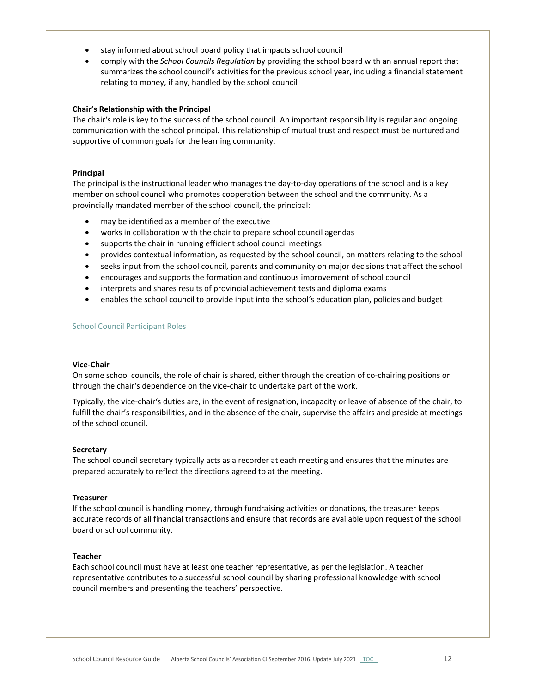- stay informed about school board policy that impacts school council
- comply with the *School Councils Regulation* by providing the school board with an annual report that summarizes the school council's activities for the previous school year, including a financial statement relating to money, if any, handled by the school council

#### **Chair's Relationship with the Principal**

The chair's role is key to the success of the school council. An important responsibility is regular and ongoing communication with the school principal. This relationship of mutual trust and respect must be nurtured and supportive of common goals for the learning community.

#### **Principal**

The principal is the instructional leader who manages the day-to-day operations of the school and is a key member on school council who promotes cooperation between the school and the community. As a provincially mandated member of the school council, the principal:

- may be identified as a member of the executive
- works in collaboration with the chair to prepare school council agendas
- supports the chair in running efficient school council meetings
- provides contextual information, as requested by the school council, on matters relating to the school
- seeks input from the school council, parents and community on major decisions that affect the school
- encourages and supports the formation and continuous improvement of school council
- interprets and shares results of provincial achievement tests and diploma exams
- enables the school council to provide input into the school's education plan, policies and budget

#### [School Council Participant Roles](https://www.albertaschoolcouncils.ca/files/download/de3f18fecb2ddc98999e700ed7315487)

#### **Vice-Chair**

On some school councils, the role of chair is shared, either through the creation of co-chairing positions or through the chair's dependence on the vice-chair to undertake part of the work.

Typically, the vice-chair's duties are, in the event of resignation, incapacity or leave of absence of the chair, to fulfill the chair's responsibilities, and in the absence of the chair, supervise the affairs and preside at meetings of the school council.

#### **Secretary**

The school council secretary typically acts as a recorder at each meeting and ensures that the minutes are prepared accurately to reflect the directions agreed to at the meeting.

#### **Treasurer**

If the school council is handling money, through fundraising activities or donations, the treasurer keeps accurate records of all financial transactions and ensure that records are available upon request of the school board or school community.

#### **Teacher**

Each school council must have at least one teacher representative, as per the legislation. A teacher representative contributes to a successful school council by sharing professional knowledge with school council members and presenting the teachers' perspective.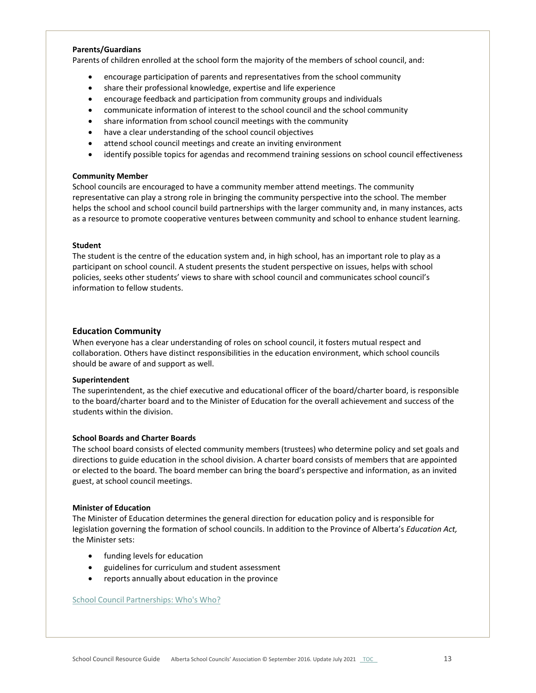#### **Parents/Guardians**

Parents of children enrolled at the school form the majority of the members of school council, and:

- encourage participation of parents and representatives from the school community
- share their professional knowledge, expertise and life experience
- encourage feedback and participation from community groups and individuals
- communicate information of interest to the school council and the school community
- share information from school council meetings with the community
- have a clear understanding of the school council objectives
- attend school council meetings and create an inviting environment
- identify possible topics for agendas and recommend training sessions on school council effectiveness

#### **Community Member**

School councils are encouraged to have a community member attend meetings. The community representative can play a strong role in bringing the community perspective into the school. The member helps the school and school council build partnerships with the larger community and, in many instances, acts as a resource to promote cooperative ventures between community and school to enhance student learning.

#### **Student**

The student is the centre of the education system and, in high school, has an important role to play as a participant on school council. A student presents the student perspective on issues, helps with school policies, seeks other students' views to share with school council and communicates school council's information to fellow students.

#### <span id="page-12-0"></span>**Education Community**

When everyone has a clear understanding of roles on school council, it fosters mutual respect and collaboration. Others have distinct responsibilities in the education environment, which school councils should be aware of and support as well.

#### **Superintendent**

The superintendent, as the chief executive and educational officer of the board/charter board, is responsible to the board/charter board and to the Minister of Education for the overall achievement and success of the students within the division.

# **School Boards and Charter Boards**

The school board consists of elected community members (trustees) who determine policy and set goals and directions to guide education in the school division. A charter board consists of members that are appointed or elected to the board. The board member can bring the board's perspective and information, as an invited guest, at school council meetings.

#### **Minister of Education**

The Minister of Education determines the general direction for education policy and is responsible for legislation governing the formation of school councils. In addition to the Province of Alberta's *Education Act,*  the Minister sets:

- funding levels for education
- guidelines for curriculum and student assessment
- reports annually about education in the province

[School Council Partnerships: Who's Who?](https://www.albertaschoolcouncils.ca/files/download/96531458766da7a5d99a5ecffca33847)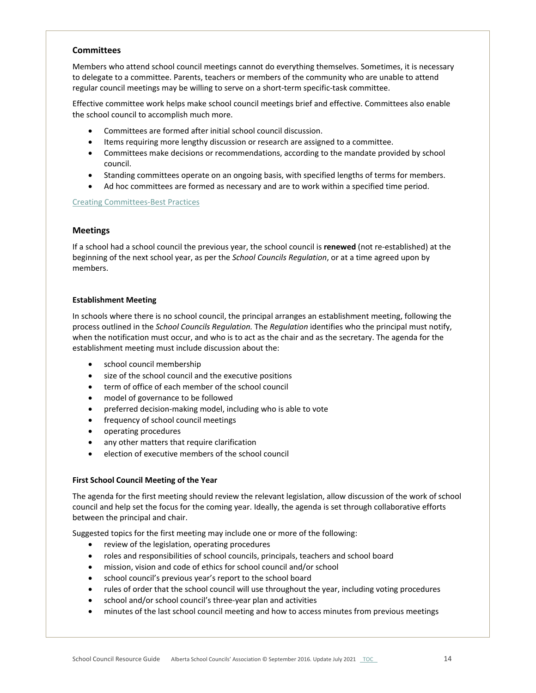# <span id="page-13-0"></span>**Committees**

Members who attend school council meetings cannot do everything themselves. Sometimes, it is necessary to delegate to a committee. Parents, teachers or members of the community who are unable to attend regular council meetings may be willing to serve on a short-term specific-task committee.

Effective committee work helps make school council meetings brief and effective. Committees also enable the school council to accomplish much more.

- Committees are formed after initial school council discussion.
- Items requiring more lengthy discussion or research are assigned to a committee.
- Committees make decisions or recommendations, according to the mandate provided by school council.
- Standing committees operate on an ongoing basis, with specified lengths of terms for members.
- Ad hoc committees are formed as necessary and are to work within a specified time period.

#### [Creating Committees-Best Practices](https://www.albertaschoolcouncils.ca/files/download/b2bcd3bb8762669b30540c81b0ec11c9)

# <span id="page-13-1"></span>**Meetings**

If a school had a school council the previous year, the school council is **renewed** (not re-established) at the beginning of the next school year, as per the *School Councils Regulation*, or at a time agreed upon by members.

# <span id="page-13-2"></span>**Establishment Meeting**

In schools where there is no school council, the principal arranges an establishment meeting, following the process outlined in the *School Councils Regulation.* The *Regulation* identifies who the principal must notify, when the notification must occur, and who is to act as the chair and as the secretary. The agenda for the establishment meeting must include discussion about the:

- school council membership
- size of the school council and the executive positions
- term of office of each member of the school council
- model of governance to be followed
- preferred decision-making model, including who is able to vote
- frequency of school council meetings
- operating procedures
- any other matters that require clarification
- election of executive members of the school council

# <span id="page-13-3"></span>**First School Council Meeting of the Year**

The agenda for the first meeting should review the relevant legislation, allow discussion of the work of school council and help set the focus for the coming year. Ideally, the agenda is set through collaborative efforts between the principal and chair.

Suggested topics for the first meeting may include one or more of the following:

- review of the legislation, operating procedures
- roles and responsibilities of school councils, principals, teachers and school board
- mission, vision and code of ethics for school council and/or school
- school council's previous year's report to the school board
- rules of order that the school council will use throughout the year, including voting procedures
- school and/or school council's three-year plan and activities
- minutes of the last school council meeting and how to access minutes from previous meetings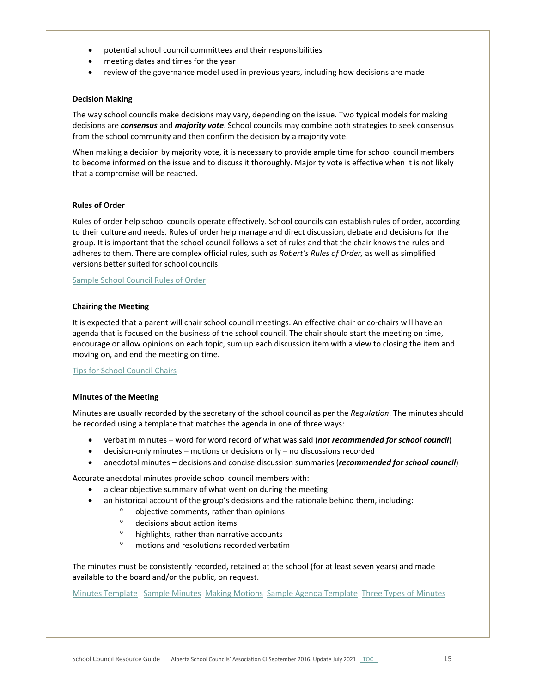- potential school council committees and their responsibilities
- meeting dates and times for the year
- review of the governance model used in previous years, including how decisions are made

#### **Decision Making**

The way school councils make decisions may vary, depending on the issue. Two typical models for making decisions are *consensus* and *majority vote*. School councils may combine both strategies to seek consensus from the school community and then confirm the decision by a majority vote.

When making a decision by majority vote, it is necessary to provide ample time for school council members to become informed on the issue and to discuss it thoroughly. Majority vote is effective when it is not likely that a compromise will be reached.

#### <span id="page-14-0"></span>**Rules of Order**

Rules of order help school councils operate effectively. School councils can establish rules of order, according to their culture and needs. Rules of order help manage and direct discussion, debate and decisions for the group. It is important that the school council follows a set of rules and that the chair knows the rules and adheres to them. There are complex official rules, such as *Robert's Rules of Order,* as well as simplified versions better suited for school councils.

[Sample School Council Rules of Order](https://www.albertaschoolcouncils.ca/files/download/e8b0fb330db2c3665fdb21f115915c29)

#### <span id="page-14-1"></span>**Chairing the Meeting**

It is expected that a parent will chair school council meetings. An effective chair or co-chairs will have an agenda that is focused on the business of the school council. The chair should start the meeting on time, encourage or allow opinions on each topic, sum up each discussion item with a view to closing the item and moving on, and end the meeting on time.

[Tips for School Council Chairs](https://www.albertaschoolcouncils.ca/files/download/a0c04ca9867e65649503d9fbf7bc0080)

#### <span id="page-14-2"></span>**Minutes of the Meeting**

Minutes are usually recorded by the secretary of the school council as per the *Regulation*. The minutes should be recorded using a template that matches the agenda in one of three ways:

- verbatim minutes word for word record of what was said (*not recommended for school council*)
- decision-only minutes motions or decisions only no discussions recorded
- anecdotal minutes decisions and concise discussion summaries (*recommended for school council*)

Accurate anecdotal minutes provide school council members with:

- a clear objective summary of what went on during the meeting
- an historical account of the group's decisions and the rationale behind them, including:
	- objective comments, rather than opinions
	- decisions about action items
	- highlights, rather than narrative accounts
	- motions and resolutions recorded verbatim

The minutes must be consistently recorded, retained at the school (for at least seven years) and made available to the board and/or the public, on request.

[Minutes Template](https://www.albertaschoolcouncils.ca/files/download/0dd37d3a5e15ccfa691e9298afc60f37) [Sample Minutes](https://www.albertaschoolcouncils.ca/files/download/e230d0c8a9f47c18e55b353d1c0b6637) [Making Motions](https://www.albertaschoolcouncils.ca/files/download/a94833d3ebd3736be6503a214e58f2d3) [Sample Agenda Template](https://www.albertaschoolcouncils.ca/files/download/35e8a30860da89e0a782b27039ddd7b5) [Three Types of Minutes](https://www.albertaschoolcouncils.ca/files/download/f9bf8c38b7277376de7bdff9998504ac)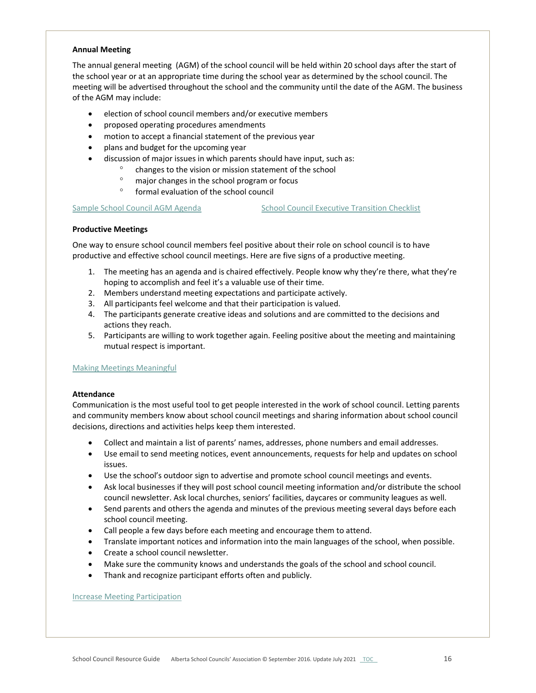### <span id="page-15-0"></span>**Annual Meeting**

The annual general meeting (AGM) of the school council will be held within 20 school days after the start of the school year or at an appropriate time during the school year as determined by the school council. The meeting will be advertised throughout the school and the community until the date of the AGM. The business of the AGM may include:

- election of school council members and/or executive members
- proposed operating procedures amendments
- motion to accept a financial statement of the previous year
- plans and budget for the upcoming year
- discussion of major issues in which parents should have input, such as:
	- changes to the vision or mission statement of the school
	- major changes in the school program or focus
	- formal evaluation of the school council

[Sample School Council AGM Agenda](https://www.albertaschoolcouncils.ca/files/download/30333a6d59ac73801b9ebbb1493d0e87) [School Council Executive Transition Checklist](https://www.albertaschoolcouncils.ca/files/download/2a48a8609c66b28f5debb12815e79533)

#### **Productive Meetings**

One way to ensure school council members feel positive about their role on school council is to have productive and effective school council meetings. Here are five signs of a productive meeting.

- 1. The meeting has an agenda and is chaired effectively. People know why they're there, what they're hoping to accomplish and feel it's a valuable use of their time.
- 2. Members understand meeting expectations and participate actively.
- 3. All participants feel welcome and that their participation is valued.
- 4. The participants generate creative ideas and solutions and are committed to the decisions and actions they reach.
- 5. Participants are willing to work together again. Feeling positive about the meeting and maintaining mutual respect is important.

#### [Making Meetings Meaningful](https://www.albertaschoolcouncils.ca/files/download/532e36224e0fea79721399a881547d6a)

#### **Attendance**

Communication is the most useful tool to get people interested in the work of school council. Letting parents and community members know about school council meetings and sharing information about school council decisions, directions and activities helps keep them interested.

- Collect and maintain a list of parents' names, addresses, phone numbers and email addresses.
- Use email to send meeting notices, event announcements, requests for help and updates on school issues.
- Use the school's outdoor sign to advertise and promote school council meetings and events.
- Ask local businesses if they will post school council meeting information and/or distribute the school council newsletter. Ask local churches, seniors' facilities, daycares or community leagues as well.
- Send parents and others the agenda and minutes of the previous meeting several days before each school council meeting.
- Call people a few days before each meeting and encourage them to attend.
- Translate important notices and information into the main languages of the school, when possible.
- Create a school council newsletter.
- Make sure the community knows and understands the goals of the school and school council.
- Thank and recognize participant efforts often and publicly.

[Increase Meeting Participation](https://www.albertaschoolcouncils.ca/files/download/fc603248728a1106e6d2d141e4c3b88c)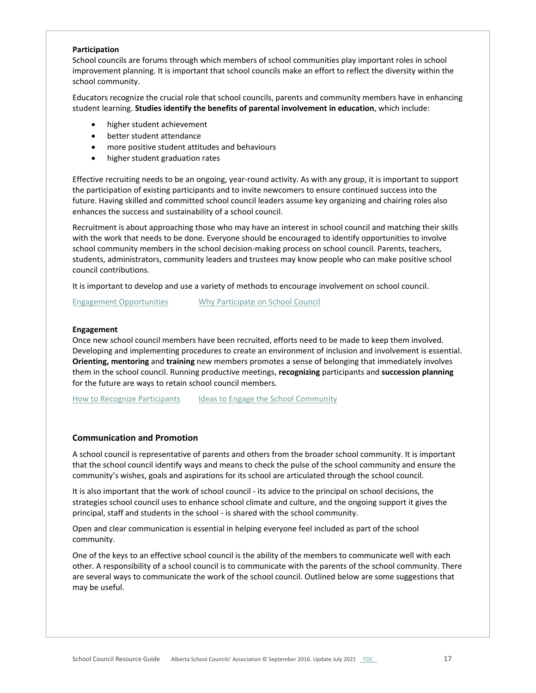#### **Participation**

School councils are forums through which members of school communities play important roles in school improvement planning. It is important that school councils make an effort to reflect the diversity within the school community.

Educators recognize the crucial role that school councils, parents and community members have in enhancing student learning. **Studies identify the benefits of parental involvement in education**, which include:

- higher student achievement
- better student attendance
- more positive student attitudes and behaviours
- higher student graduation rates

Effective recruiting needs to be an ongoing, year-round activity. As with any group, it is important to support the participation of existing participants and to invite newcomers to ensure continued success into the future. Having skilled and committed school council leaders assume key organizing and chairing roles also enhances the success and sustainability of a school council.

Recruitment is about approaching those who may have an interest in school council and matching their skills with the work that needs to be done. Everyone should be encouraged to identify opportunities to involve school community members in the school decision-making process on school council. Parents, teachers, students, administrators, community leaders and trustees may know people who can make positive school council contributions.

It is important to develop and use a variety of methods to encourage involvement on school council.

[Engagement Opportunities](https://www.albertaschoolcouncils.ca/files/download/d5e08a2730f7aaf0b49383326fffd130) [Why Participate on School Council](https://www.albertaschoolcouncils.ca/files/download/92440e8f30cbfc83dd421d452fecffd9)

#### **Engagement**

Once new school council members have been recruited, efforts need to be made to keep them involved. Developing and implementing procedures to create an environment of inclusion and involvement is essential. **Orienting, mentoring** and **training** new members promotes a sense of belonging that immediately involves them in the school council. Running productive meetings, **recognizing** participants and **succession planning** for the future are ways to retain school council members.

[How to Recognize Participants](https://www.albertaschoolcouncils.ca/files/download/8811fe7b820fd62c0d04dc2b7fb629db) [Ideas to Engage the School](https://www.albertaschoolcouncils.ca/files/download/df79c12686abc005592b8bf233673dd1) Community

# <span id="page-16-0"></span>**Communication and Promotion**

A school council is representative of parents and others from the broader school community. It is important that the school council identify ways and means to check the pulse of the school community and ensure the community's wishes, goals and aspirations for its school are articulated through the school council.

It is also important that the work of school council - its advice to the principal on school decisions, the strategies school council uses to enhance school climate and culture, and the ongoing support it gives the principal, staff and students in the school - is shared with the school community.

Open and clear communication is essential in helping everyone feel included as part of the school community.

One of the keys to an effective school council is the ability of the members to communicate well with each other. A responsibility of a school council is to communicate with the parents of the school community. There are several ways to communicate the work of the school council. Outlined below are some suggestions that may be useful.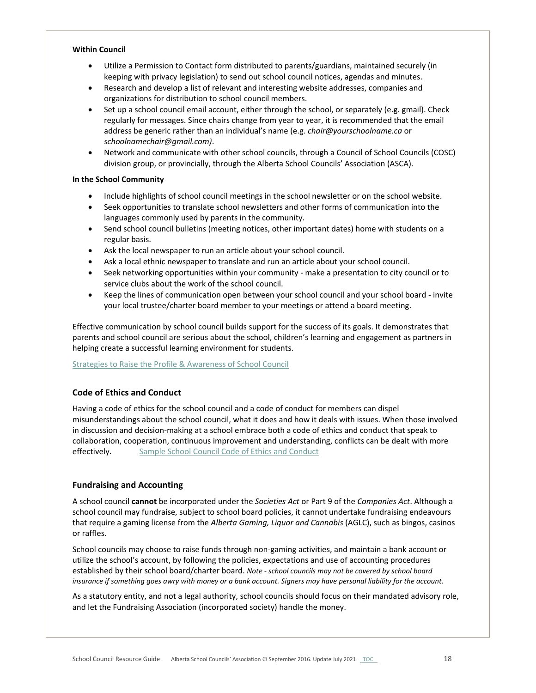### **Within Council**

- Utilize a Permission to Contact form distributed to parents/guardians, maintained securely (in keeping with privacy legislation) to send out school council notices, agendas and minutes.
- Research and develop a list of relevant and interesting website addresses, companies and organizations for distribution to school council members.
- Set up a school council email account, either through the school, or separately (e.g. gmail). Check regularly for messages. Since chairs change from year to year, it is recommended that the email address be generic rather than an individual's name (e.g. *chair@yourschoolname.ca* or *schoolnamechair@gmail.com)*.
- Network and communicate with other school councils, through a Council of School Councils (COSC) division group, or provincially, through the Alberta School Councils' Association (ASCA).

# **In the School Community**

- Include highlights of school council meetings in the school newsletter or on the school website.
- Seek opportunities to translate school newsletters and other forms of communication into the languages commonly used by parents in the community.
- Send school council bulletins (meeting notices, other important dates) home with students on a regular basis.
- Ask the local newspaper to run an article about your school council.
- Ask a local ethnic newspaper to translate and run an article about your school council.
- Seek networking opportunities within your community make a presentation to city council or to service clubs about the work of the school council.
- Keep the lines of communication open between your school council and your school board invite your local trustee/charter board member to your meetings or attend a board meeting.

Effective communication by school council builds support for the success of its goals. It demonstrates that parents and school council are serious about the school, children's learning and engagement as partners in helping create a successful learning environment for students.

#### [Strategies to Raise the Profile & Awareness of School Council](https://www.albertaschoolcouncils.ca/files/download/89e3943a6e3f76217f0b213664af8a61)

# <span id="page-17-0"></span>**Code of Ethics and Conduct**

Having a code of ethics for the school council and a code of conduct for members can dispel misunderstandings about the school council, what it does and how it deals with issues. When those involved in discussion and decision-making at a school embrace both a code of ethics and conduct that speak to collaboration, cooperation, continuous improvement and understanding, conflicts can be dealt with more effectively. [Sample School Council Code of Ethics and Conduct](https://www.albertaschoolcouncils.ca/files/download/038ebd56cc23818fecda898dd00e66cc)

# <span id="page-17-1"></span>**Fundraising and Accounting**

A school council **cannot** be incorporated under the *Societies Act* or Part 9 of the *Companies Act*. Although a school council may fundraise, subject to school board policies, it cannot undertake fundraising endeavours that require a gaming license from the *Alberta Gaming, Liquor and Cannabis* (AGLC), such as bingos, casinos or raffles.

School councils may choose to raise funds through non-gaming activities, and maintain a bank account or utilize the school's account, by following the policies, expectations and use of accounting procedures established by their school board/charter board. *Note - school councils may not be covered by school board insurance if something goes awry with money or a bank account. Signers may have personal liability for the account.* 

As a statutory entity, and not a legal authority, school councils should focus on their mandated advisory role, and let the Fundraising Association (incorporated society) handle the money.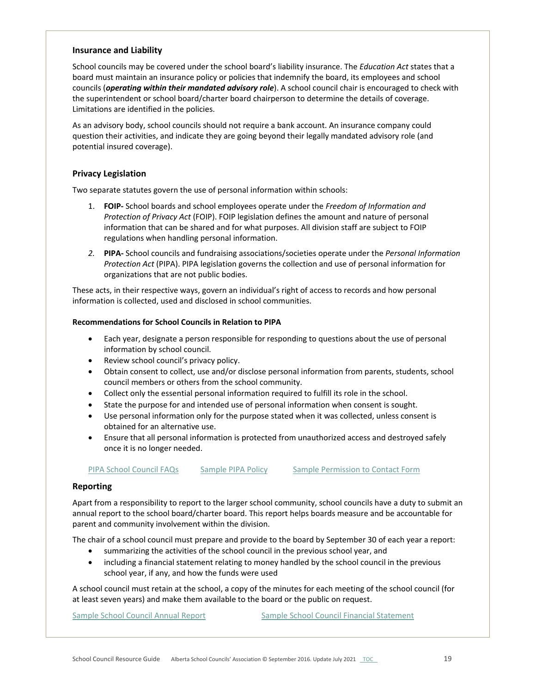# <span id="page-18-0"></span>**Insurance and Liability**

School councils may be covered under the school board's liability insurance. The *Education Act* states that a board must maintain an insurance policy or policies that indemnify the board, its employees and school councils (*operating within their mandated advisory role*). A school council chair is encouraged to check with the superintendent or school board/charter board chairperson to determine the details of coverage. Limitations are identified in the policies.

As an advisory body, school councils should not require a bank account. An insurance company could question their activities, and indicate they are going beyond their legally mandated advisory role (and potential insured coverage).

# <span id="page-18-1"></span>**Privacy Legislation**

Two separate statutes govern the use of personal information within schools:

- 1. **FOIP-** School boards and school employees operate under the *Freedom of Information and Protection of Privacy Act* (FOIP). FOIP legislation defines the amount and nature of personal information that can be shared and for what purposes. All division staff are subject to FOIP regulations when handling personal information.
- *2.* **PIPA-** School councils and fundraising associations/societies operate under the *Personal Information Protection Act* (PIPA). PIPA legislation governs the collection and use of personal information for organizations that are not public bodies.

These acts, in their respective ways, govern an individual's right of access to records and how personal information is collected, used and disclosed in school communities.

# **Recommendations for School Councils in Relation to PIPA**

- Each year, designate a person responsible for responding to questions about the use of personal information by school council.
- Review school council's privacy policy.
- Obtain consent to collect, use and/or disclose personal information from parents, students, school council members or others from the school community.
- Collect only the essential personal information required to fulfill its role in the school.
- State the purpose for and intended use of personal information when consent is sought.
- Use personal information only for the purpose stated when it was collected, unless consent is obtained for an alternative use.
- Ensure that all personal information is protected from unauthorized access and destroyed safely once it is no longer needed.

### [PIPA School](https://www.albertaschoolcouncils.ca/public/download/files/40913) Council FAQs [Sample PIPA Policy](https://www.albertaschoolcouncils.ca/files/download/8d103a1a5160bdc20e487ba1020873b5) [Sample Permission to](https://www.albertaschoolcouncils.ca/files/download/d6d9036f181e51281f97b527e05f566b) Contact Form

# <span id="page-18-2"></span>**Reporting**

Apart from a responsibility to report to the larger school community, school councils have a duty to submit an annual report to the school board/charter board. This report helps boards measure and be accountable for parent and community involvement within the division.

The chair of a school council must prepare and provide to the board by September 30 of each year a report:

- summarizing the activities of the school council in the previous school year, and
- including a financial statement relating to money handled by the school council in the previous school year, if any, and how the funds were used

A school council must retain at the school, a copy of the minutes for each meeting of the school council (for at least seven years) and make them available to the board or the public on request.

[Sample School Council Annual Report](https://www.albertaschoolcouncils.ca/files/download/85215645fed46c021be9ff9dc06fa789) [Sample School Council Financial Statement](https://www.albertaschoolcouncils.ca/files/download/208c00b971a132c937ef7637a992c797)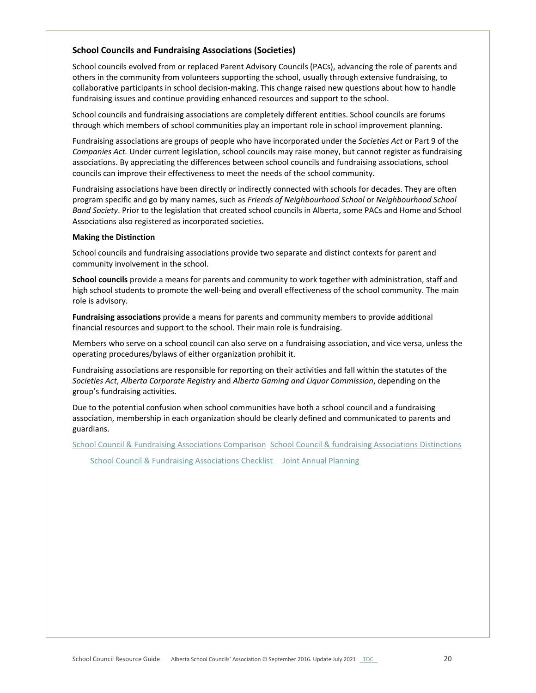# <span id="page-19-0"></span>**School Councils and Fundraising Associations (Societies)**

School councils evolved from or replaced Parent Advisory Councils (PACs), advancing the role of parents and others in the community from volunteers supporting the school, usually through extensive fundraising, to collaborative participants in school decision-making. This change raised new questions about how to handle fundraising issues and continue providing enhanced resources and support to the school.

School councils and fundraising associations are completely different entities. School councils are forums through which members of school communities play an important role in school improvement planning.

Fundraising associations are groups of people who have incorporated under the *Societies Act* or Part 9 of the *Companies Act.* Under current legislation, school councils may raise money, but cannot register as fundraising associations. By appreciating the differences between school councils and fundraising associations, school councils can improve their effectiveness to meet the needs of the school community.

Fundraising associations have been directly or indirectly connected with schools for decades. They are often program specific and go by many names, such as *Friends of Neighbourhood School* or *Neighbourhood School Band Society*. Prior to the legislation that created school councils in Alberta, some PACs and Home and School Associations also registered as incorporated societies.

#### **Making the Distinction**

School councils and fundraising associations provide two separate and distinct contexts for parent and community involvement in the school.

**School councils** provide a means for parents and community to work together with administration, staff and high school students to promote the well-being and overall effectiveness of the school community. The main role is advisory.

**Fundraising associations** provide a means for parents and community members to provide additional financial resources and support to the school. Their main role is fundraising.

Members who serve on a school council can also serve on a fundraising association, and vice versa, unless the operating procedures/bylaws of either organization prohibit it.

Fundraising associations are responsible for reporting on their activities and fall within the statutes of the *Societies Act*, *Alberta Corporate Registry* and *Alberta Gaming and Liquor Commission*, depending on the group's fundraising activities.

Due to the potential confusion when school communities have both a school council and a fundraising association, membership in each organization should be clearly defined and communicated to parents and guardians.

[School Council & Fundraising Associations Comparison](https://www.albertaschoolcouncils.ca/files/download/9e480d0bdeea5576fa32225e5e7bf8c3) School Council & fundraising [Associations Distinctions](https://www.albertaschoolcouncils.ca/files/download/d968823f178082a723a828f061a0227b)

[School Council & Fundraising Associations](https://www.albertaschoolcouncils.ca/files/download/4fca45eb20cb22665429efec1ff756e5) Checklist [Joint Annual Planning](https://www.albertaschoolcouncils.ca/files/download/feea923308017ae22ced4a12c0e22caf)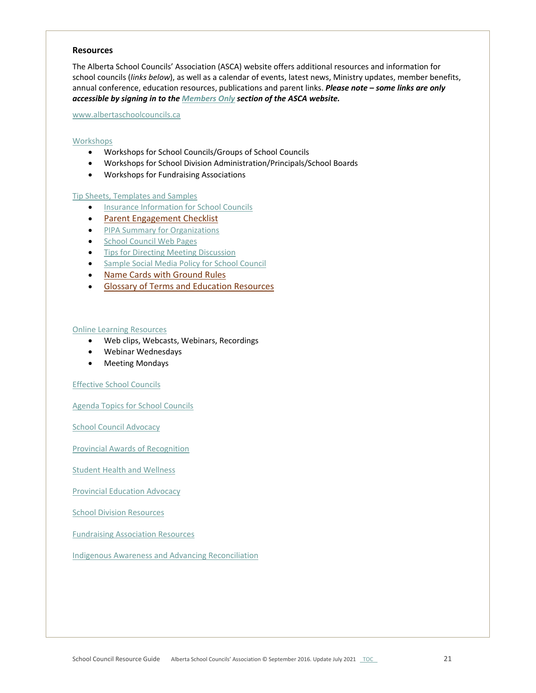#### <span id="page-20-0"></span>**Resources**

The Alberta School Councils' Association (ASCA) website offers additional resources and information for school councils (*links below*), as well as a calendar of events, latest news, Ministry updates, member benefits, annual conference, education resources, publications and parent links. *Please note – some links are only accessible by signing in to the [Members Only](https://www.albertaschoolcouncils.ca/about/membership/members-only-section) section of the ASCA website.*

[www.albertaschoolcouncils.ca](http://www.albertaschoolcouncils.ca/)

#### **[Workshops](https://www.albertaschoolcouncils.ca/school-councils/workshops)**

- Workshops for School Councils/Groups of School Councils
- Workshops for School Division Administration/Principals/School Boards
- Workshops for Fundraising Associations

#### [Tip Sheets, Templates](https://www.albertaschoolcouncils.ca/about/membership/members-only-section) and Samples

- [Insurance Information for School Councils](https://www.albertaschoolcouncils.ca/files/download/9a63373a11a15c8c892133d5cb4e987a)
- [Parent Engagement Checklist](https://www.albertaschoolcouncils.ca/files/download/72a3710ad8bc38e2165b2a726576daac)
- [PIPA Summary for Organizations](https://www.albertaschoolcouncils.ca/public/download/files/41098)
- [School Council Web Pages](https://www.albertaschoolcouncils.ca/files/download/ffd0d6d0ec3483e2985c77aa5fe5199e)
- [Tips for Directing Meeting Discussion](https://www.albertaschoolcouncils.ca/files/download/40f646250c872f2a1ffebe8a0f4e57f3)
- [Sample Social Media Policy for School Council](https://www.albertaschoolcouncils.ca/files/download/d71ac8753950261088231214255415c0)
- [Name Cards with Ground Rules](https://www.albertaschoolcouncils.ca/files/download/017d3e2efc0f2fe9e042238178b84d8e)
- [Glossary of Terms and Education Resources](https://www.albertaschoolcouncils.ca/files/download/cadf01007818e98a12645d236a47fb59)

#### [Online Learning Resources](https://www.albertaschoolcouncils.ca/about/membership/members-only-section)

- Web clips, Webcasts, Webinars, Recordings
- Webinar Wednesdays
- Meeting Mondays

[Effective School Councils](http://www.albertaschoolcouncils.ca/school-councils/effective-school-councils) 

[Agenda Topics for School Councils](https://www.albertaschoolcouncils.ca/about/membership/members-only-section)

[School Council Advocacy](https://www.albertaschoolcouncils.ca/about/membership/members-only-section)

[Provincial Awards of Recognition](https://www.albertaschoolcouncils.ca/school-councils/awards-of-recognition)

[Student Health and Wellness](https://www.albertaschoolcouncils.ca/education-in-alberta/healthy-schools-and-student-wellness)

[Provincial Education Advocacy](http://www.albertaschoolcouncils.ca/about/the-parent-voice)

[School Division](http://www.albertaschoolcouncils.ca/school-councils/school-districts) Resources

[Fundraising Association](https://www.albertaschoolcouncils.ca/about/membership/members-only-section) Resources

[Indigenous Awareness and Advancing Reconciliation](https://www.albertaschoolcouncils.ca/about/indigenous-awareness/advancing-reconciliation)